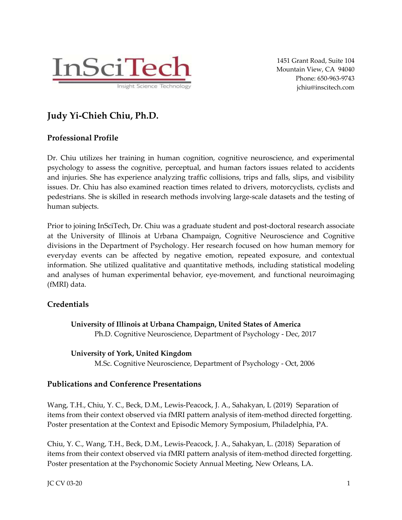

1451 Grant Road, Suite 104 Mountain View, CA 94040 Phone: 650-963-9743 jchiu@inscitech.com

# **Judy Yi-Chieh Chiu, Ph.D.**

## **Professional Profile**

Dr. Chiu utilizes her training in human cognition, cognitive neuroscience, and experimental psychology to assess the cognitive, perceptual, and human factors issues related to accidents and injuries. She has experience analyzing traffic collisions, trips and falls, slips, and visibility issues. Dr. Chiu has also examined reaction times related to drivers, motorcyclists, cyclists and pedestrians. She is skilled in research methods involving large-scale datasets and the testing of human subjects.

Prior to joining InSciTech, Dr. Chiu was a graduate student and post-doctoral research associate at the University of Illinois at Urbana Champaign, Cognitive Neuroscience and Cognitive divisions in the Department of Psychology. Her research focused on how human memory for everyday events can be affected by negative emotion, repeated exposure, and contextual information. She utilized qualitative and quantitative methods, including statistical modeling and analyses of human experimental behavior, eye-movement, and functional neuroimaging (fMRI) data.

## **Credentials**

**University of Illinois at Urbana Champaign, United States of America** Ph.D. Cognitive Neuroscience, Department of Psychology - Dec, 2017

### **University of York, United Kingdom**

M.Sc. Cognitive Neuroscience, Department of Psychology - Oct, 2006

## **Publications and Conference Presentations**

Wang, T.H., Chiu, Y. C., Beck, D.M., Lewis-Peacock, J. A., Sahakyan, L (2019) Separation of items from their context observed via fMRI pattern analysis of item-method directed forgetting. Poster presentation at the Context and Episodic Memory Symposium, Philadelphia, PA.

Chiu, Y. C., Wang, T.H., Beck, D.M., Lewis-Peacock, J. A., Sahakyan, L. (2018) Separation of items from their context observed via fMRI pattern analysis of item-method directed forgetting. Poster presentation at the Psychonomic Society Annual Meeting, New Orleans, LA.